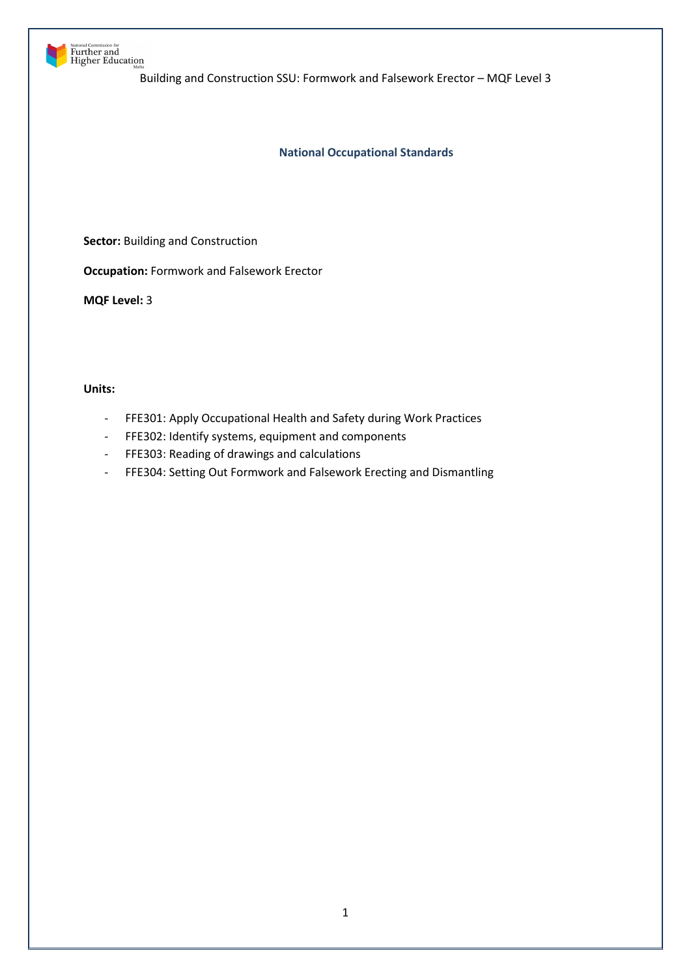

**National Occupational Standards**

**Sector:** Building and Construction

**Occupation:** Formwork and Falsework Erector

**MQF Level:** 3

**Units:** 

- FFE301: Apply Occupational Health and Safety during Work Practices
- FFE302: Identify systems, equipment and components
- FFE303: Reading of drawings and calculations
- FFE304: Setting Out Formwork and Falsework Erecting and Dismantling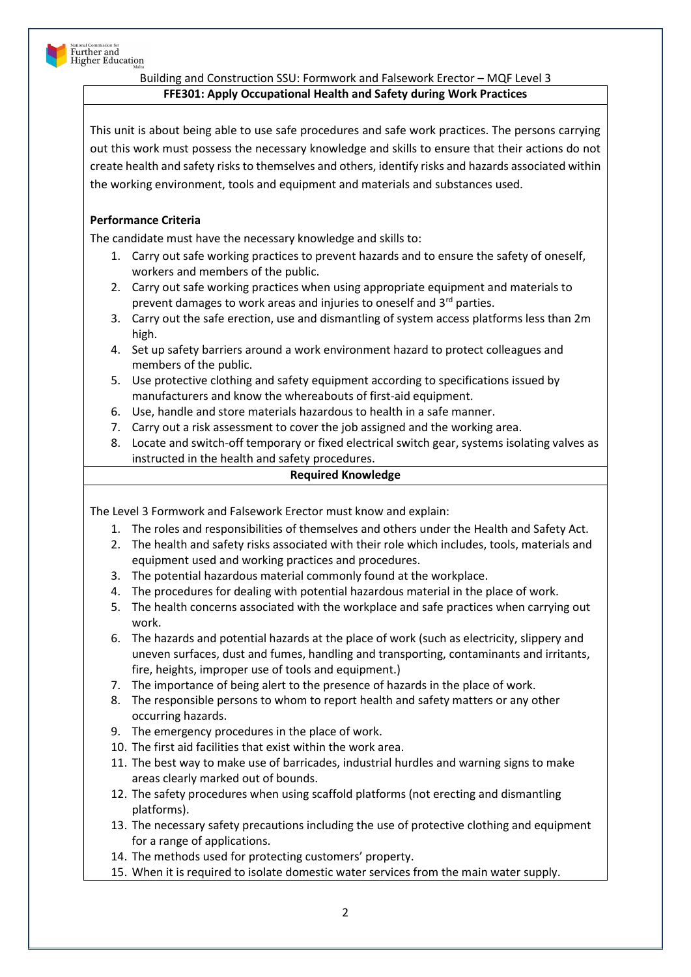

# **FFE301: Apply Occupational Health and Safety during Work Practices**

This unit is about being able to use safe procedures and safe work practices. The persons carrying out this work must possess the necessary knowledge and skills to ensure that their actions do not create health and safety risks to themselves and others, identify risks and hazards associated within the working environment, tools and equipment and materials and substances used.

# **Performance Criteria**

The candidate must have the necessary knowledge and skills to:

- 1. Carry out safe working practices to prevent hazards and to ensure the safety of oneself, workers and members of the public.
- 2. Carry out safe working practices when using appropriate equipment and materials to prevent damages to work areas and injuries to oneself and 3rd parties.
- 3. Carry out the safe erection, use and dismantling of system access platforms less than 2m high.
- 4. Set up safety barriers around a work environment hazard to protect colleagues and members of the public.
- 5. Use protective clothing and safety equipment according to specifications issued by manufacturers and know the whereabouts of first-aid equipment.
- 6. Use, handle and store materials hazardous to health in a safe manner.
- 7. Carry out a risk assessment to cover the job assigned and the working area.
- 8. Locate and switch-off temporary or fixed electrical switch gear, systems isolating valves as instructed in the health and safety procedures.

## **Required Knowledge**

The Level 3 Formwork and Falsework Erector must know and explain:

- 1. The roles and responsibilities of themselves and others under the Health and Safety Act.
- 2. The health and safety risks associated with their role which includes, tools, materials and equipment used and working practices and procedures.
- 3. The potential hazardous material commonly found at the workplace.
- 4. The procedures for dealing with potential hazardous material in the place of work.
- 5. The health concerns associated with the workplace and safe practices when carrying out work.
- 6. The hazards and potential hazards at the place of work (such as electricity, slippery and uneven surfaces, dust and fumes, handling and transporting, contaminants and irritants, fire, heights, improper use of tools and equipment.)
- 7. The importance of being alert to the presence of hazards in the place of work.
- 8. The responsible persons to whom to report health and safety matters or any other occurring hazards.
- 9. The emergency procedures in the place of work.
- 10. The first aid facilities that exist within the work area.
- 11. The best way to make use of barricades, industrial hurdles and warning signs to make areas clearly marked out of bounds.
- 12. The safety procedures when using scaffold platforms (not erecting and dismantling platforms).
- 13. The necessary safety precautions including the use of protective clothing and equipment for a range of applications.
- 14. The methods used for protecting customers' property.
- 15. When it is required to isolate domestic water services from the main water supply.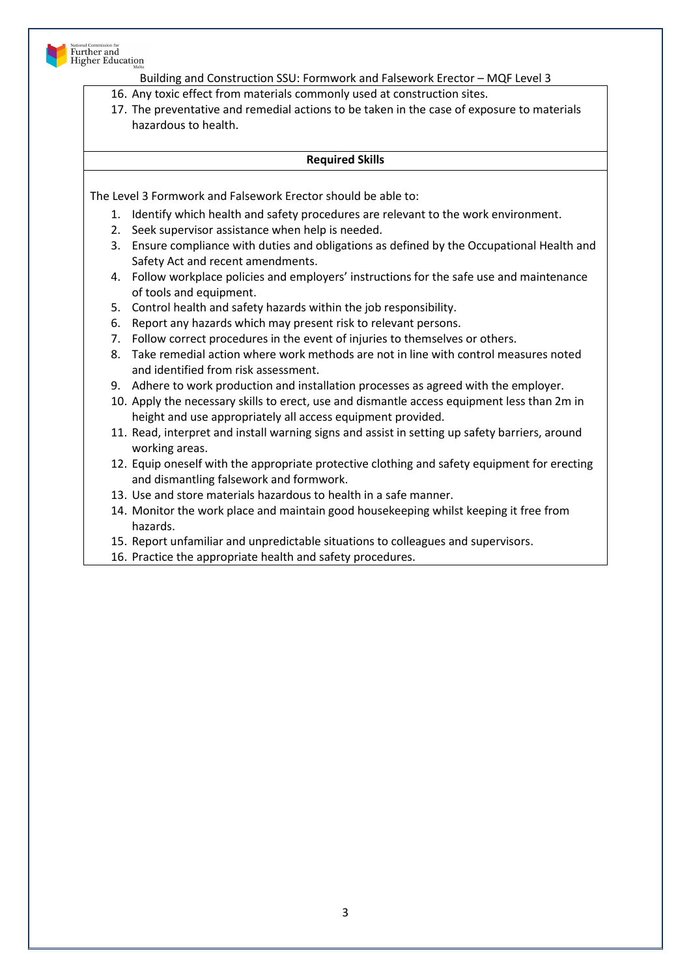

- 16. Any toxic effect from materials commonly used at construction sites.
- 17. The preventative and remedial actions to be taken in the case of exposure to materials hazardous to health.

#### **Required Skills**

- 1. Identify which health and safety procedures are relevant to the work environment.
- 2. Seek supervisor assistance when help is needed.
- 3. Ensure compliance with duties and obligations as defined by the Occupational Health and Safety Act and recent amendments.
- 4. Follow workplace policies and employers' instructions for the safe use and maintenance of tools and equipment.
- 5. Control health and safety hazards within the job responsibility.
- 6. Report any hazards which may present risk to relevant persons.
- 7. Follow correct procedures in the event of injuries to themselves or others.
- 8. Take remedial action where work methods are not in line with control measures noted and identified from risk assessment.
- 9. Adhere to work production and installation processes as agreed with the employer.
- 10. Apply the necessary skills to erect, use and dismantle access equipment less than 2m in height and use appropriately all access equipment provided.
- 11. Read, interpret and install warning signs and assist in setting up safety barriers, around working areas.
- 12. Equip oneself with the appropriate protective clothing and safety equipment for erecting and dismantling falsework and formwork.
- 13. Use and store materials hazardous to health in a safe manner.
- 14. Monitor the work place and maintain good housekeeping whilst keeping it free from hazards.
- 15. Report unfamiliar and unpredictable situations to colleagues and supervisors.
- 16. Practice the appropriate health and safety procedures.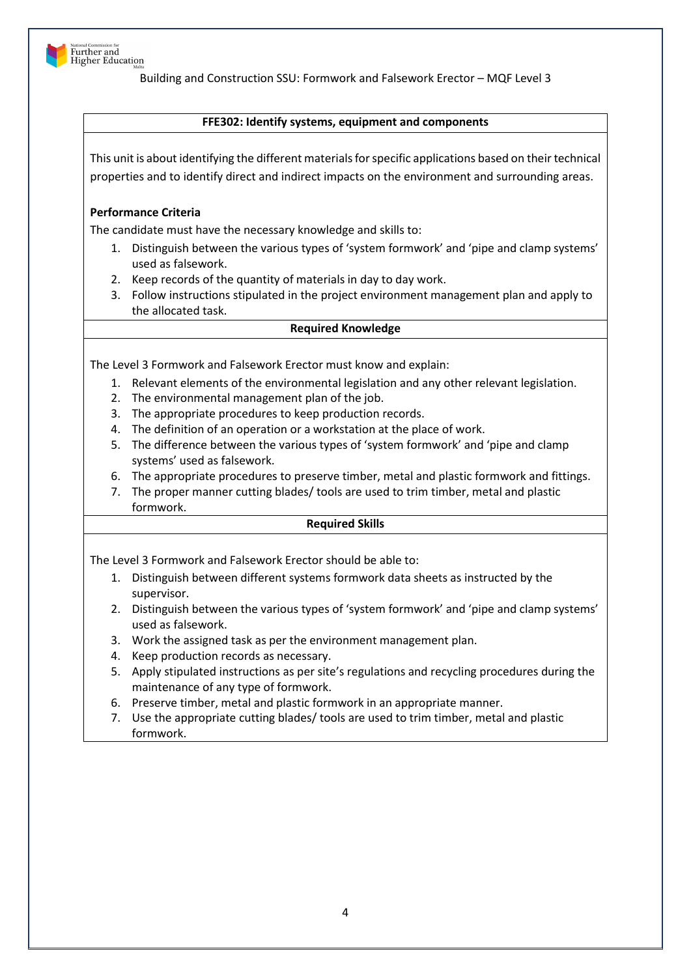

#### **FFE302: Identify systems, equipment and components**

This unit is about identifying the different materials for specific applications based on their technical properties and to identify direct and indirect impacts on the environment and surrounding areas.

## **Performance Criteria**

The candidate must have the necessary knowledge and skills to:

- 1. Distinguish between the various types of 'system formwork' and 'pipe and clamp systems' used as falsework.
- 2. Keep records of the quantity of materials in day to day work.
- 3. Follow instructions stipulated in the project environment management plan and apply to the allocated task.

### **Required Knowledge**

The Level 3 Formwork and Falsework Erector must know and explain:

- 1. Relevant elements of the environmental legislation and any other relevant legislation.
- 2. The environmental management plan of the job.
- 3. The appropriate procedures to keep production records.
- 4. The definition of an operation or a workstation at the place of work.
- 5. The difference between the various types of 'system formwork' and 'pipe and clamp systems' used as falsework.
- 6. The appropriate procedures to preserve timber, metal and plastic formwork and fittings.
- 7. The proper manner cutting blades/ tools are used to trim timber, metal and plastic formwork.

#### **Required Skills**

- 1. Distinguish between different systems formwork data sheets as instructed by the supervisor.
- 2. Distinguish between the various types of 'system formwork' and 'pipe and clamp systems' used as falsework.
- 3. Work the assigned task as per the environment management plan.
- 4. Keep production records as necessary.
- 5. Apply stipulated instructions as per site's regulations and recycling procedures during the maintenance of any type of formwork.
- 6. Preserve timber, metal and plastic formwork in an appropriate manner.
- 7. Use the appropriate cutting blades/ tools are used to trim timber, metal and plastic formwork.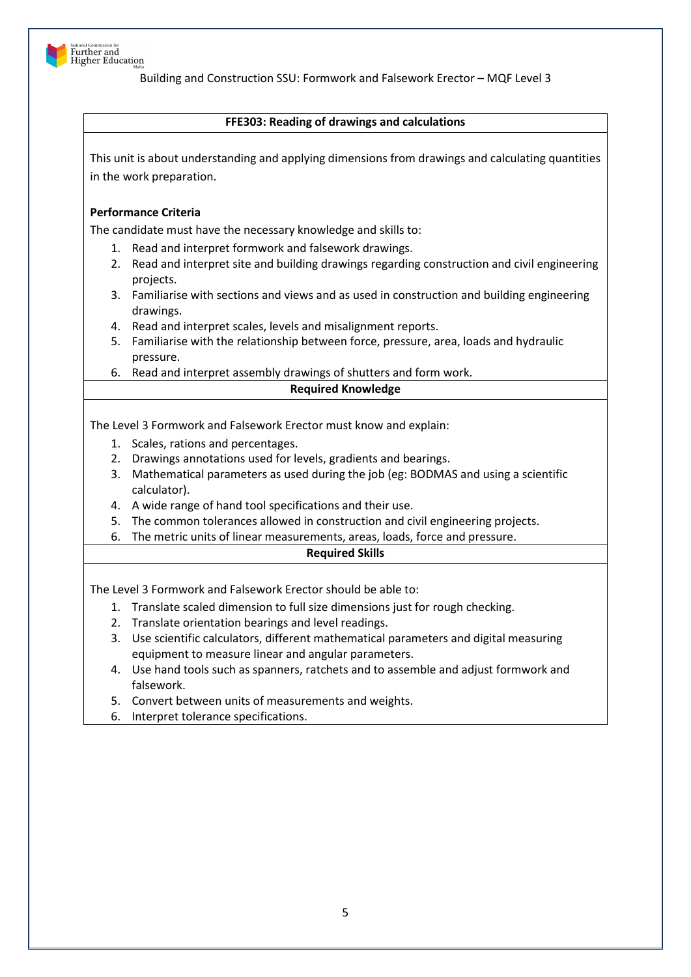

#### **FFE303: Reading of drawings and calculations**

This unit is about understanding and applying dimensions from drawings and calculating quantities in the work preparation.

## **Performance Criteria**

The candidate must have the necessary knowledge and skills to:

- 1. Read and interpret formwork and falsework drawings.
- 2. Read and interpret site and building drawings regarding construction and civil engineering projects.
- 3. Familiarise with sections and views and as used in construction and building engineering drawings.
- 4. Read and interpret scales, levels and misalignment reports.
- 5. Familiarise with the relationship between force, pressure, area, loads and hydraulic pressure.
- 6. Read and interpret assembly drawings of shutters and form work.

### **Required Knowledge**

The Level 3 Formwork and Falsework Erector must know and explain:

- 1. Scales, rations and percentages.
- 2. Drawings annotations used for levels, gradients and bearings.
- 3. Mathematical parameters as used during the job (eg: BODMAS and using a scientific calculator).
- 4. A wide range of hand tool specifications and their use.
- 5. The common tolerances allowed in construction and civil engineering projects.
- 6. The metric units of linear measurements, areas, loads, force and pressure.

#### **Required Skills**

- 1. Translate scaled dimension to full size dimensions just for rough checking.
- 2. Translate orientation bearings and level readings.
- 3. Use scientific calculators, different mathematical parameters and digital measuring equipment to measure linear and angular parameters.
- 4. Use hand tools such as spanners, ratchets and to assemble and adjust formwork and falsework.
- 5. Convert between units of measurements and weights.
- 6. Interpret tolerance specifications.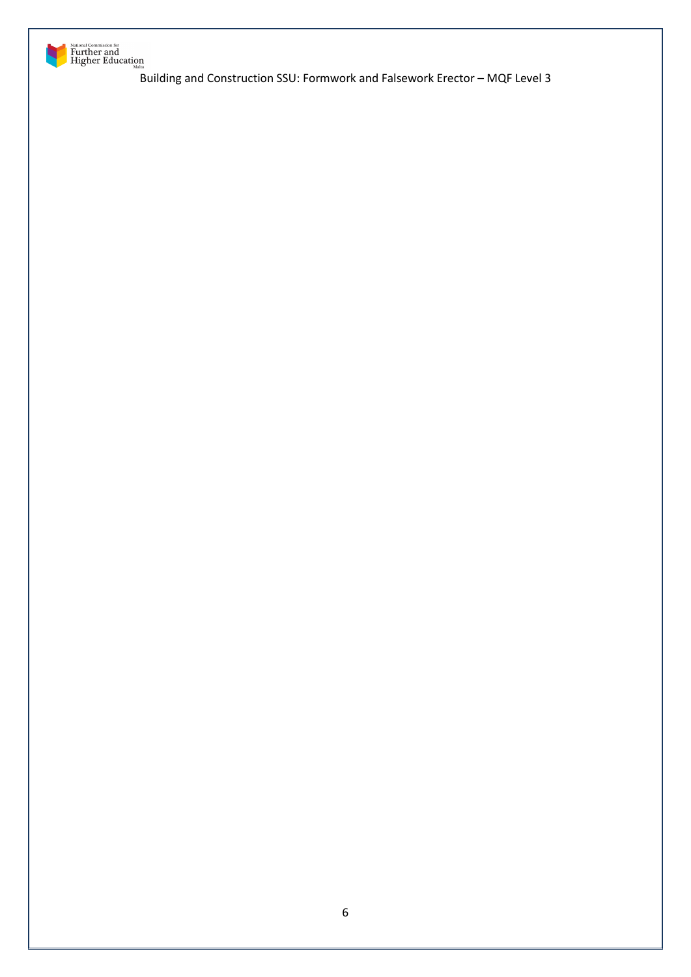

National Commission for<br>
Further and<br>
Higher Education

Building and Construction SSU: Formwork and Falsework Erector – MQF Level 3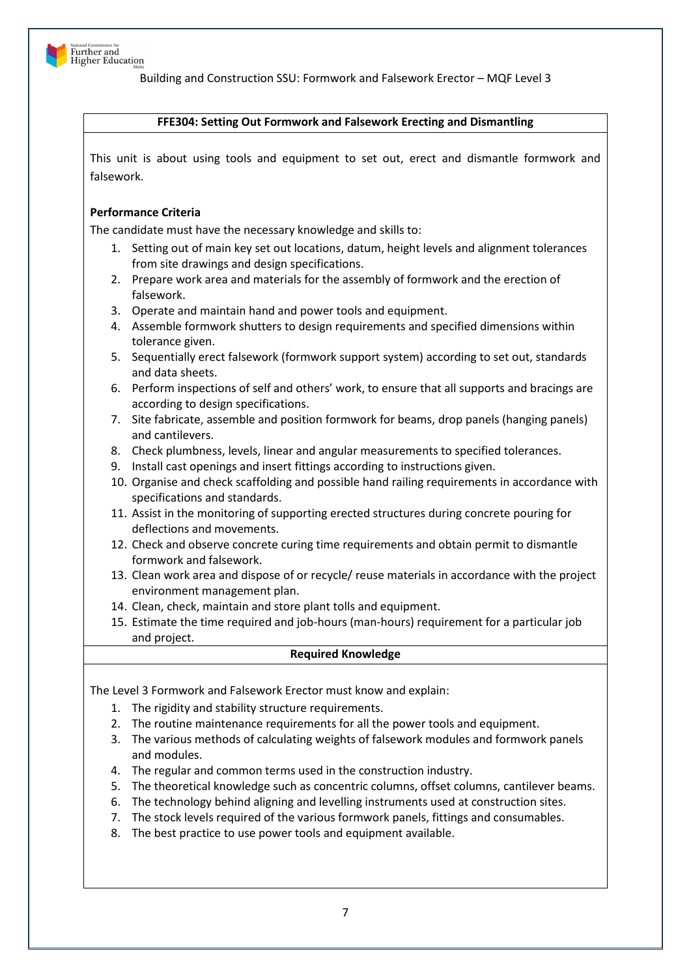

#### **FFE304: Setting Out Formwork and Falsework Erecting and Dismantling**

This unit is about using tools and equipment to set out, erect and dismantle formwork and falsework.

# **Performance Criteria**

The candidate must have the necessary knowledge and skills to:

- 1. Setting out of main key set out locations, datum, height levels and alignment tolerances from site drawings and design specifications.
- 2. Prepare work area and materials for the assembly of formwork and the erection of falsework.
- 3. Operate and maintain hand and power tools and equipment.
- 4. Assemble formwork shutters to design requirements and specified dimensions within tolerance given.
- 5. Sequentially erect falsework (formwork support system) according to set out, standards and data sheets.
- 6. Perform inspections of self and others' work, to ensure that all supports and bracings are according to design specifications.
- 7. Site fabricate, assemble and position formwork for beams, drop panels (hanging panels) and cantilevers.
- 8. Check plumbness, levels, linear and angular measurements to specified tolerances.
- 9. Install cast openings and insert fittings according to instructions given.
- 10. Organise and check scaffolding and possible hand railing requirements in accordance with specifications and standards.
- 11. Assist in the monitoring of supporting erected structures during concrete pouring for deflections and movements.
- 12. Check and observe concrete curing time requirements and obtain permit to dismantle formwork and falsework.
- 13. Clean work area and dispose of or recycle/ reuse materials in accordance with the project environment management plan.
- 14. Clean, check, maintain and store plant tolls and equipment.
- 15. Estimate the time required and job-hours (man-hours) requirement for a particular job and project.

#### **Required Knowledge**

The Level 3 Formwork and Falsework Erector must know and explain:

- 1. The rigidity and stability structure requirements.
- 2. The routine maintenance requirements for all the power tools and equipment.
- 3. The various methods of calculating weights of falsework modules and formwork panels and modules.
- 4. The regular and common terms used in the construction industry.
- 5. The theoretical knowledge such as concentric columns, offset columns, cantilever beams.
- 6. The technology behind aligning and levelling instruments used at construction sites.
- 7. The stock levels required of the various formwork panels, fittings and consumables.
- 8. The best practice to use power tools and equipment available.